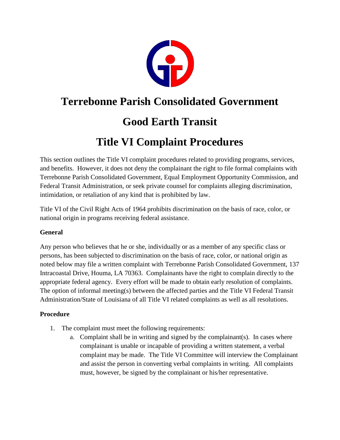

### **Terrebonne Parish Consolidated Government**

## **Good Earth Transit**

# **Title VI Complaint Procedures**

This section outlines the Title VI complaint procedures related to providing programs, services, and benefits. However, it does not deny the complainant the right to file formal complaints with Terrebonne Parish Consolidated Government, Equal Employment Opportunity Commission, and Federal Transit Administration, or seek private counsel for complaints alleging discrimination, intimidation, or retaliation of any kind that is prohibited by law.

Title VI of the Civil Right Acts of 1964 prohibits discrimination on the basis of race, color, or national origin in programs receiving federal assistance.

#### **General**

Any person who believes that he or she, individually or as a member of any specific class or persons, has been subjected to discrimination on the basis of race, color, or national origin as noted below may file a written complaint with Terrebonne Parish Consolidated Government, 137 Intracoastal Drive, Houma, LA 70363. Complainants have the right to complain directly to the appropriate federal agency. Every effort will be made to obtain early resolution of complaints. The option of informal meeting(s) between the affected parties and the Title VI Federal Transit Administration/State of Louisiana of all Title VI related complaints as well as all resolutions.

#### **Procedure**

- 1. The complaint must meet the following requirements:
	- a. Complaint shall be in writing and signed by the complainant(s). In cases where complainant is unable or incapable of providing a written statement, a verbal complaint may be made. The Title VI Committee will interview the Complainant and assist the person in converting verbal complaints in writing. All complaints must, however, be signed by the complainant or his/her representative.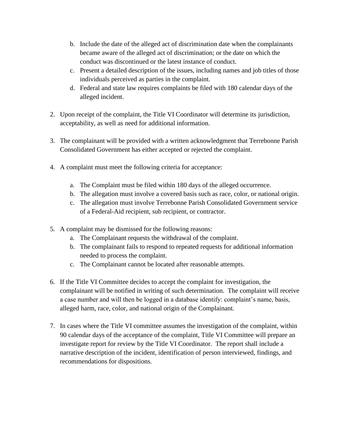- b. Include the date of the alleged act of discrimination date when the complainants became aware of the alleged act of discrimination; or the date on which the conduct was discontinued or the latest instance of conduct.
- c. Present a detailed description of the issues, including names and job titles of those individuals perceived as parties in the complaint.
- d. Federal and state law requires complaints be filed with 180 calendar days of the alleged incident.
- 2. Upon receipt of the complaint, the Title VI Coordinator will determine its jurisdiction, acceptability, as well as need for additional information.
- 3. The complainant will be provided with a written acknowledgment that Terrebonne Parish Consolidated Government has either accepted or rejected the complaint.
- 4. A complaint must meet the following criteria for acceptance:
	- a. The Complaint must be filed within 180 days of the alleged occurrence.
	- b. The allegation must involve a covered basis such as race, color, or national origin.
	- c. The allegation must involve Terrebonne Parish Consolidated Government service of a Federal-Aid recipient, sub recipient, or contractor.
- 5. A complaint may be dismissed for the following reasons:
	- a. The Complainant requests the withdrawal of the complaint.
	- b. The complainant fails to respond to repeated requests for additional information needed to process the complaint.
	- c. The Complainant cannot be located after reasonable attempts.
- 6. If the Title VI Committee decides to accept the complaint for investigation, the complainant will be notified in writing of such determination. The complaint will receive a case number and will then be logged in a database identify: complaint's name, basis, alleged harm, race, color, and national origin of the Complainant.
- 7. In cases where the Title VI committee assumes the investigation of the complaint, within 90 calendar days of the acceptance of the complaint, Title VI Committee will prepare an investigate report for review by the Title VI Coordinator. The report shall include a narrative description of the incident, identification of person interviewed, findings, and recommendations for dispositions.